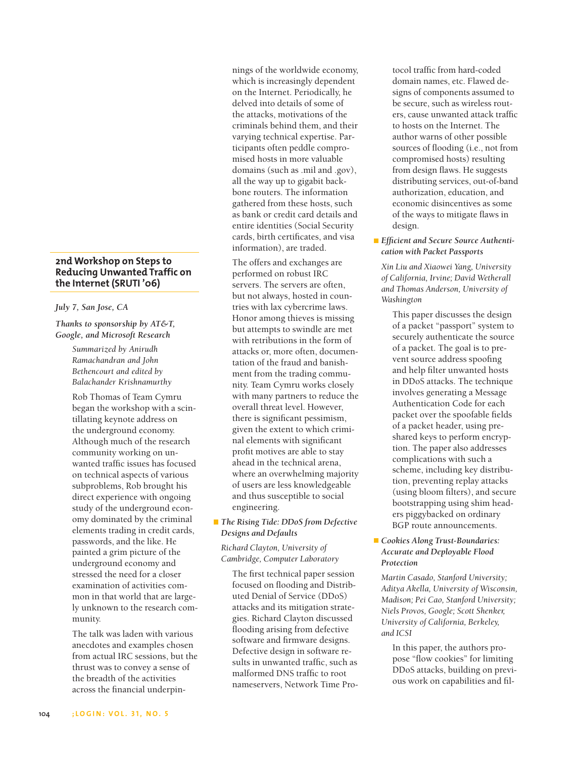# **2nd Workshop on Steps to Reducing Unwanted Traffic on the Internet (SRUTI '06)**

#### *July 7, San Jose, CA*

*Thanks to sponsorship by AT&T, Google, and Microsoft Research*

> *Summarized by Anirudh Ramachandran and John Bethencourt and edited by Balachander Krishnamurthy*

Rob Thomas of Team Cymru began the workshop with a scintillating keynote address on the underground economy. Although much of the research community working on unwanted traffic issues has focused on technical aspects of various subproblems, Rob brought his direct experience with ongoing study of the underground economy dominated by the criminal elements trading in credit cards, passwords, and the like. He painted a grim picture of the underground economy and stressed the need for a closer examination of activities common in that world that are largely unknown to the research community.

The talk was laden with various anecdotes and examples chosen from actual IRC sessions, but the thrust was to convey a sense of the breadth of the activities across the financial underpinnings of the worldwide economy, which is increasingly dependent on the Internet. Periodically, he delved into details of some of the attacks, motivations of the criminals behind them, and their varying technical expertise. Participants often peddle compromised hosts in more valuable domains (such as .mil and .gov), all the way up to gigabit backbone routers. The information gathered from these hosts, such as bank or credit card details and entire identities (Social Security cards, birth certificates, and visa information), are traded.

The offers and exchanges are performed on robust IRC servers. The servers are often, but not always, hosted in countries with lax cybercrime laws. Honor among thieves is missing but attempts to swindle are met with retributions in the form of attacks or, more often, documentation of the fraud and banishment from the trading community. Team Cymru works closely with many partners to reduce the overall threat level. However, there is significant pessimism, given the extent to which criminal elements with significant profit motives are able to stay ahead in the technical arena, where an overwhelming majority of users are less knowledgeable and thus susceptible to social engineering.

# *The Rising Tide: DDoS from Defective Designs and Defaults*

*Richard Clayton, University of Cambridge, Computer Laboratory*

The first technical paper session focused on flooding and Distributed Denial of Service (DDoS) attacks and its mitigation strategies. Richard Clayton discussed flooding arising from defective software and firmware designs. Defective design in software results in unwanted traffic, such as malformed DNS traffic to root nameservers, Network Time Protocol traffic from hard-coded domain names, etc. Flawed designs of components assumed to be secure, such as wireless routers, cause unwanted attack traffic to hosts on the Internet. The author warns of other possible sources of flooding (i.e., not from compromised hosts) resulting from design flaws. He suggests distributing services, out-of-band authorization, education, and economic disincentives as some of the ways to mitigate flaws in design.

## *Efficient and Secure Source Authentication with Packet Passports*

*Xin Liu and Xiaowei Yang, University of California, Irvine; David Wetherall and Thomas Anderson, University of Washington*

This paper discusses the design of a packet "passport" system to securely authenticate the source of a packet. The goal is to prevent source address spoofing and help filter unwanted hosts in DDoS attacks. The technique involves generating a Message Authentication Code for each packet over the spoofable fields of a packet header, using preshared keys to perform encryption. The paper also addresses complications with such a scheme, including key distribution, preventing replay attacks (using bloom filters), and secure bootstrapping using shim headers piggybacked on ordinary BGP route announcements.

## *Cookies Along Trust-Boundaries: Accurate and Deployable Flood Protection*

*Martin Casado, Stanford University; Aditya Akella, University of Wisconsin, Madison; Pei Cao, Stanford University; Niels Provos, Google; Scott Shenker, University of California, Berkeley, and ICSI*

In this paper, the authors propose "flow cookies" for limiting DDoS attacks, building on previous work on capabilities and fil-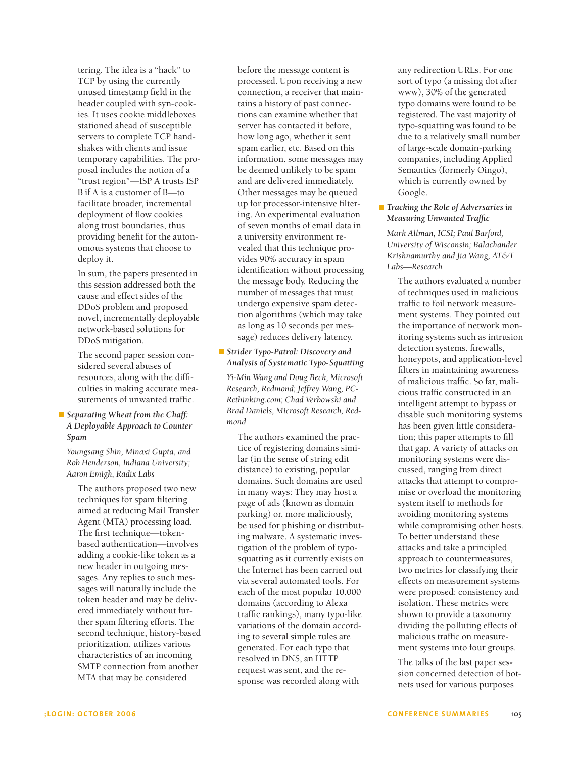tering. The idea is a "hack" to TCP by using the currently unused timestamp field in the header coupled with syn-cookies. It uses cookie middleboxes stationed ahead of susceptible servers to complete TCP handshakes with clients and issue temporary capabilities. The proposal includes the notion of a "trust region"—ISP A trusts ISP B if A is a customer of B—to facilitate broader, incremental deployment of flow cookies along trust boundaries, thus providing benefit for the autonomous systems that choose to deploy it.

In sum, the papers presented in this session addressed both the cause and effect sides of the DDoS problem and proposed novel, incrementally deployable network-based solutions for DDoS mitigation.

The second paper session considered several abuses of resources, along with the difficulties in making accurate measurements of unwanted traffic.

# *Separating Wheat from the Chaff: A Deployable Approach to Counter Spam*

*Youngsang Shin, Minaxi Gupta, and Rob Henderson, Indiana University; Aaron Emigh, Radix Labs*

The authors proposed two new techniques for spam filtering aimed at reducing Mail Transfer Agent (MTA) processing load. The first technique—tokenbased authentication—involves adding a cookie-like token as a new header in outgoing messages. Any replies to such messages will naturally include the token header and may be delivered immediately without further spam filtering efforts. The second technique, history-based prioritization, utilizes various characteristics of an incoming SMTP connection from another MTA that may be considered

before the message content is processed. Upon receiving a new connection, a receiver that maintains a history of past connections can examine whether that server has contacted it before, how long ago, whether it sent spam earlier, etc. Based on this information, some messages may be deemed unlikely to be spam and are delivered immediately. Other messages may be queued up for processor-intensive filtering. An experimental evaluation of seven months of email data in a university environment revealed that this technique provides 90% accuracy in spam identification without processing the message body. Reducing the number of messages that must undergo expensive spam detection algorithms (which may take as long as 10 seconds per message) reduces delivery latency.

## *Strider Typo-Patrol: Discovery and Analysis of Systematic Typo-Squatting*

*Yi-Min Wang and Doug Beck, Microsoft Research, Redmond; Jeffrey Wang, PC-Rethinking.com; Chad Verbowski and Brad Daniels, Microsoft Research, Redmond*

The authors examined the practice of registering domains similar (in the sense of string edit distance) to existing, popular domains. Such domains are used in many ways: They may host a page of ads (known as domain parking) or, more maliciously, be used for phishing or distributing malware. A systematic investigation of the problem of typosquatting as it currently exists on the Internet has been carried out via several automated tools. For each of the most popular 10,000 domains (according to Alexa traffic rankings), many typo-like variations of the domain according to several simple rules are generated. For each typo that resolved in DNS, an HTTP request was sent, and the response was recorded along with

any redirection URLs. For one sort of typo (a missing dot after www), 30% of the generated typo domains were found to be registered. The vast majority of typo-squatting was found to be due to a relatively small number of large-scale domain-parking companies, including Applied Semantics (formerly Oingo), which is currently owned by Google.

### *Tracking the Role of Adversaries in Measuring Unwanted Traffic*

*Mark Allman, ICSI; Paul Barford, University of Wisconsin; Balachander Krishnamurthy and Jia Wang, AT&T Labs—Research*

The authors evaluated a number of techniques used in malicious traffic to foil network measurement systems. They pointed out the importance of network monitoring systems such as intrusion detection systems, firewalls, honeypots, and application-level filters in maintaining awareness of malicious traffic. So far, malicious traffic constructed in an intelligent attempt to bypass or disable such monitoring systems has been given little consideration; this paper attempts to fill that gap. A variety of attacks on monitoring systems were discussed, ranging from direct attacks that attempt to compromise or overload the monitoring system itself to methods for avoiding monitoring systems while compromising other hosts. To better understand these attacks and take a principled approach to countermeasures, two metrics for classifying their effects on measurement systems were proposed: consistency and isolation. These metrics were shown to provide a taxonomy dividing the polluting effects of malicious traffic on measurement systems into four groups.

The talks of the last paper session concerned detection of botnets used for various purposes